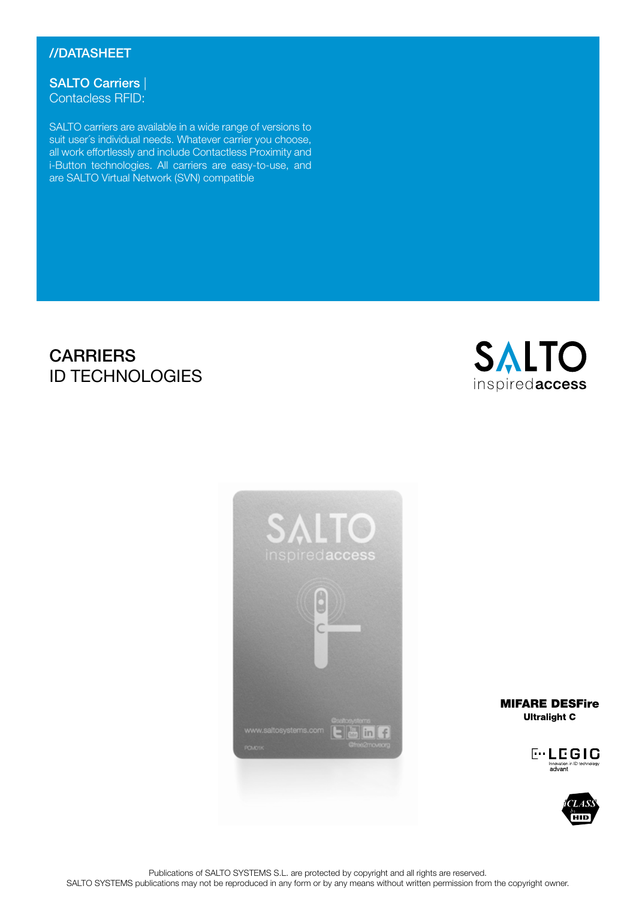## //DATASHEET

SALTO Carriers Contacless RFID:

SALTO carriers are available in a wide range of versions to suit user´s individual needs. Whatever carrier you choose, all work effortlessly and include Contactless Proximity and i-Button technologies. All carriers are easy-to-use, and are SALTO Virtual Network (SVN) compatible

# **CARRIERS** ID TECHNOLOGIES





**MIFARE DESFire**<br>Ultralight C





Publications of SALTO SYSTEMS S.L. are protected by copyright and all rights are reserved. SALTO SYSTEMS publications may not be reproduced in any form or by any means without written permission from the copyright owner.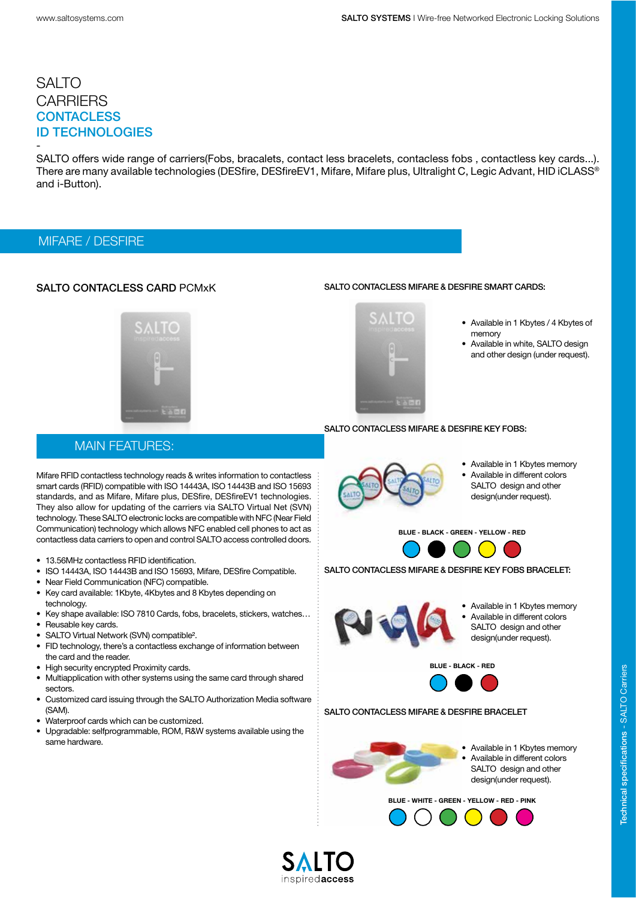- SALTO offers wide range of carriers(Fobs, bracalets, contact less bracelets, contacless fobs, contactless key cards...). There are many available technologies (DESfire, DESfireEV1, Mifare, Mifare plus, Ultralight C, Legic Advant, HID iCLASS® and i-Button).

#### MIFARE / DESFIRE

#### SALTO CONTACLESS CARD PCMxK

#### SALTO contacless Mifare & DESfire smart cards:



- Available in 1 Kbytes / 4 Kbytes of memory
- Available in white, SALTO design and other design (under request).

### MAIN FEATURES:

Mifare RFID contactless technology reads & writes information to contactless smart cards (RFID) compatible with ISO 14443A, ISO 14443B and ISO 15693 standards, and as Mifare, Mifare plus, DESfire, DESfireEV1 technologies. They also allow for updating of the carriers via SALTO Virtual Net (SVN) technology. These SALTO electronic locks are compatible with NFC (Near Field Communication) technology which allows NFC enabled cell phones to act as contactless data carriers to open and control SALTO access controlled doors.

- 13.56MHz contactless RFID identification.
- ISO 14443A, ISO 14443B and ISO 15693, Mifare, DESfire Compatible.
- Near Field Communication (NFC) compatible.
- Key card available: 1Kbyte, 4Kbytes and 8 Kbytes depending on technology.
- Key shape available: ISO 7810 Cards, fobs, bracelets, stickers, watches…
- Reusable key cards.
- SALTO Virtual Network (SVN) compatible².
- FID technology, there's a contactless exchange of information between the card and the reader.
- High security encrypted Proximity cards.
- Multiapplication with other systems using the same card through shared sectors.
- Customized card issuing through the SALTO Authorization Media software (SAM).
- Waterproof cards which can be customized.
- Upgradable: selfprogrammable, ROM, R&W systems available using the same hardware.



SALTO CONTACLESS MIFARE & DESFIRE KEY FOBS:

- Available in 1 Kbytes memory
- Available in different colors SALTO design and other design(under request).

BLUE - BLACK - GREEN - YELLOW - RED



SALTO contacless Mifare & DESfire KEY FOBS BRACELET:



- Available in 1 Kbytes memory • Available in different colors
- SALTO design and other design(under request).

BLUE - BLACK - RED



#### SALTO contacless Mifare & DESfire Bracelet



• Available in 1 Kbytes memory • Available in different colors SALTO design and other design(under request).

#### BLUE - WHITE - GREEN - YELLOW - RED - PiNK





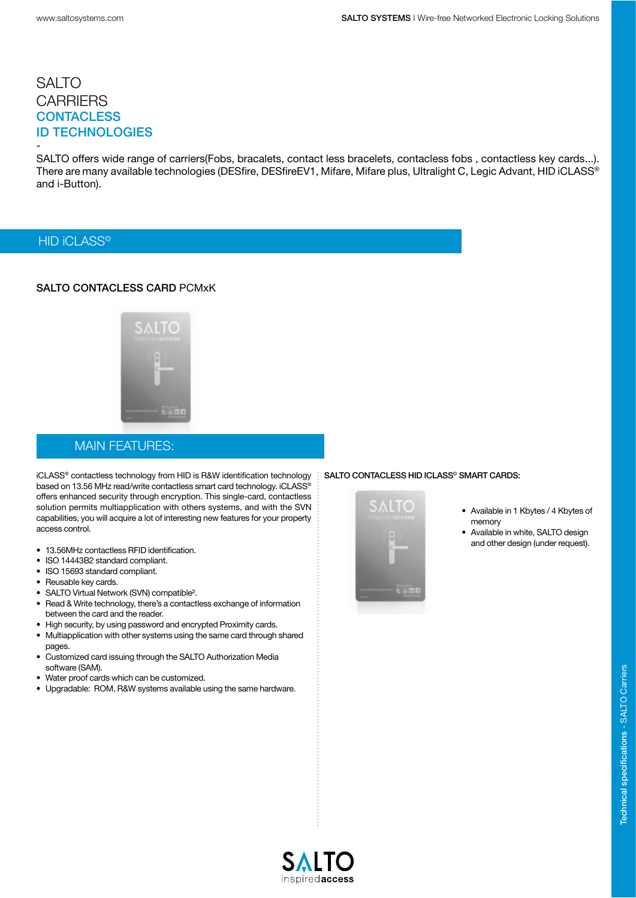SALTO offers wide range of carriers(Fobs, bracalets, contact less bracelets, contacless fobs, contactless key cards...). There are many available technologies (DESfire, DESfireEV1, Mifare, Mifare plus, Ultralight C, Legic Advant, HID iCLASS® and i-Button).

#### HID **iCLASS<sup>®</sup>**

-

#### SALTO CONTACLESS CARD PCMxK



#### MAIN FEATURES:

iCLASS® contactless technology from HID is R&W identification technology based on 13.56 MHz read/write contactless smart card technology. iCLASS® offers enhanced security through encryption. This single-card, contactless solution permits multiapplication with others systems, and with the SVN capabilities, you will acquire a lot of interesting new features for your property access control.

- 13.56MHz contactless RFID identification.
- ISO 14443B2 standard compliant.
- ISO 15693 standard compliant.
- Reusable key cards.
- SALTO Virtual Network (SVN) compatible².
- Read & Write technology, there's a contactless exchange of information between the card and the reader.
- High security, by using password and encrypted Proximity cards.
- Multiapplication with other systems using the same card through shared pages.
- Customized card issuing through the SALTO Authorization Media software (SAM).
- Water proof cards which can be customized.
- Upgradable: ROM, R&W systems available using the same hardware.

#### SALTO contacless HID ICLASS© smart cards:



- Available in 1 Kbytes / 4 Kbytes of memory
- Available in white, SALTO design and other design (under request).

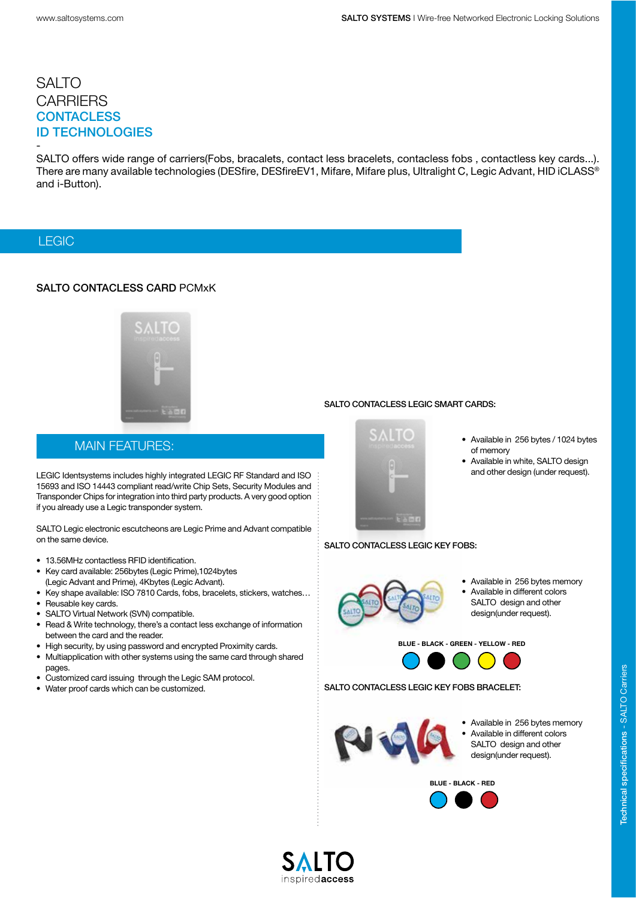- SALTO offers wide range of carriers(Fobs, bracalets, contact less bracelets, contacless fobs, contactless key cards...). There are many available technologies (DESfire, DESfireEV1, Mifare, Mifare plus, Ultralight C, Legic Advant, HID iCLASS® and i-Button).

### LEGIC

#### SALTO CONTACLESS CARD PCMxK



#### SALTO CONTACLESS LEGIC SMART CARDS:

### MAIN FEATURES:

LEGIC Identsystems includes highly integrated LEGIC RF Standard and ISO 15693 and ISO 14443 compliant read/write Chip Sets, Security Modules and Transponder Chips for integration into third party products. A very good option if you already use a Legic transponder system.

SALTO Legic electronic escutcheons are Legic Prime and Advant compatible on the same device.

- 13.56MHz contactless RFID identification.
- Key card available: 256bytes (Legic Prime),1024bytes (Legic Advant and Prime), 4Kbytes (Legic Advant).
- Key shape available: ISO 7810 Cards, fobs, bracelets, stickers, watches…
- Reusable key cards.
- SALTO Virtual Network (SVN) compatible.
- Read & Write technology, there's a contact less exchange of information between the card and the reader.
- High security, by using password and encrypted Proximity cards.
- Multiapplication with other systems using the same card through shared pages.
- Customized card issuing through the Legic SAM protocol.
- Water proof cards which can be customized.



- Available in 256 bytes / 1024 bytes of memory
- Available in white, SALTO design and other design (under request).

# SALTO contacless LEGIC KEY FOBS:



- Available in 256 bytes memory
- Available in different colors SALTO design and other design(under request).

BLUE - BLACK - GREEN - YELLOW - RED



SALTO contacless LEGIC KEY FOBS BRACELET:



- Available in 256 bytes memory
- Available in different colors SALTO design and other design(under request).

BLUE - BLACK - RED



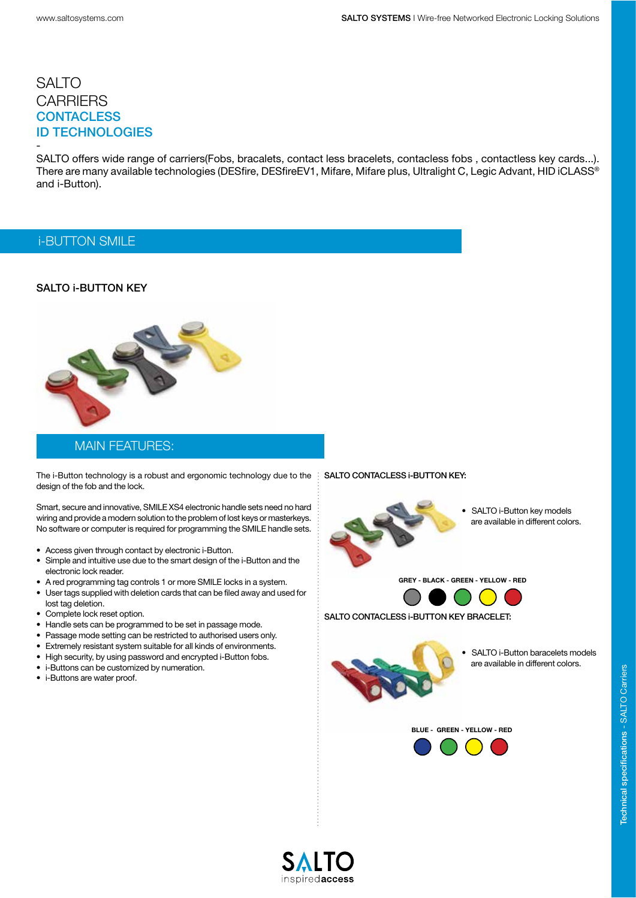- SALTO offers wide range of carriers(Fobs, bracalets, contact less bracelets, contacless fobs, contactless key cards...). There are many available technologies (DESfire, DESfireEV1, Mifare, Mifare plus, Ultralight C, Legic Advant, HID iCLASS® and i-Button).

### i-BUTTON SMILE

#### SALTO **i-BUTTON KFY**



#### MAIN FEATURES:

The i-Button technology is a robust and ergonomic technology due to the : SALTO CONTACLESS i-BUTTON KEY: design of the fob and the lock.

Smart, secure and innovative, SMILE XS4 electronic handle sets need no hard wiring and provide a modern solution to the problem of lost keys or masterkeys. No software or computer is required for programming the SMILE handle sets.

- Access given through contact by electronic i-Button.
- Simple and intuitive use due to the smart design of the i-Button and the electronic lock reader.
- A red programming tag controls 1 or more SMILE locks in a system.
- User tags supplied with deletion cards that can be filed away and used for lost tag deletion.
- Complete lock reset option.
- Handle sets can be programmed to be set in passage mode.
- Passage mode setting can be restricted to authorised users only.
- Extremely resistant system suitable for all kinds of environments.
- High security, by using password and encrypted i-Button fobs.
- i-Buttons can be customized by numeration.
- i-Buttons are water proof.



• SALTO i-Button key models are available in different colors.

GREY - BLACK - GREEN - YELLOW - RED



SALTO contacless i-BUTTON KEY BRACELET:



SALTO i-Button baracelets models are available in different colors.



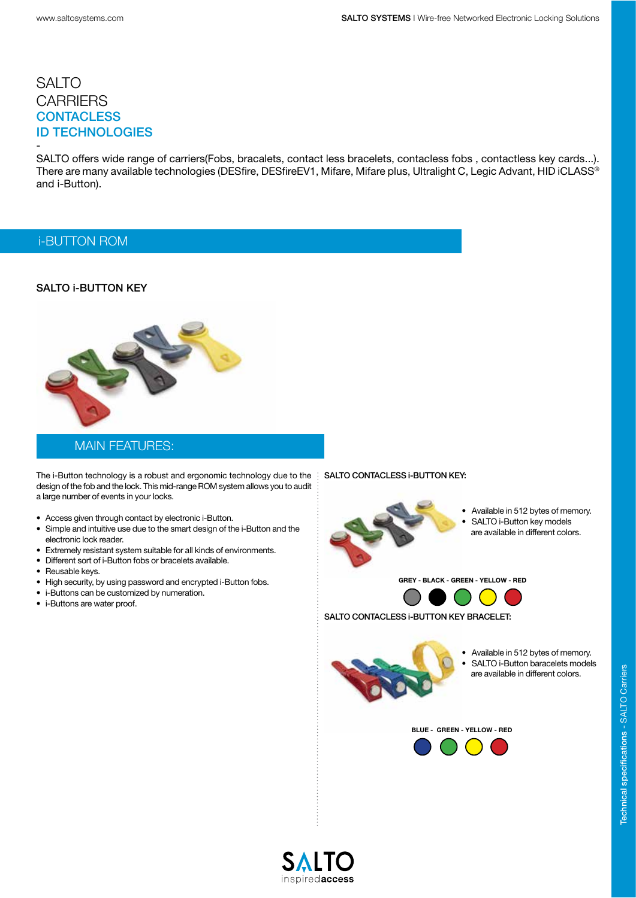- SALTO offers wide range of carriers(Fobs, bracalets, contact less bracelets, contacless fobs, contactless key cards...). There are many available technologies (DESfire, DESfireEV1, Mifare, Mifare plus, Ultralight C, Legic Advant, HID iCLASS® and i-Button).

#### i-BUTTON ROM

#### SALTO **i-BUTTON KFY**



#### MAIN FEATURES:

The i-Button technology is a robust and ergonomic technology due to the  $\ddot{\cdot}$ design of the fob and the lock. This mid-range ROM system allows you to audit a large number of events in your locks.

- Access given through contact by electronic i-Button.
- Simple and intuitive use due to the smart design of the i-Button and the electronic lock reader.
- Extremely resistant system suitable for all kinds of environments.
- Different sort of i-Button fobs or bracelets available.
- Reusable keys.
- High security, by using password and encrypted i-Button fobs.
- i-Buttons can be customized by numeration.
- i-Buttons are water proof.

#### SALTO CONTACLESS i-BUTTON KEY:



• Available in 512 bytes of memory. SALTO i-Button key models are available in different colors.

GREY - BLACK - GREEN - YELLOW - RED



SALTO CONTACLESS i-BUTTON KEY BRACELET:



• Available in 512 bytes of memory. SALTO i-Button baracelets models are available in different colors.